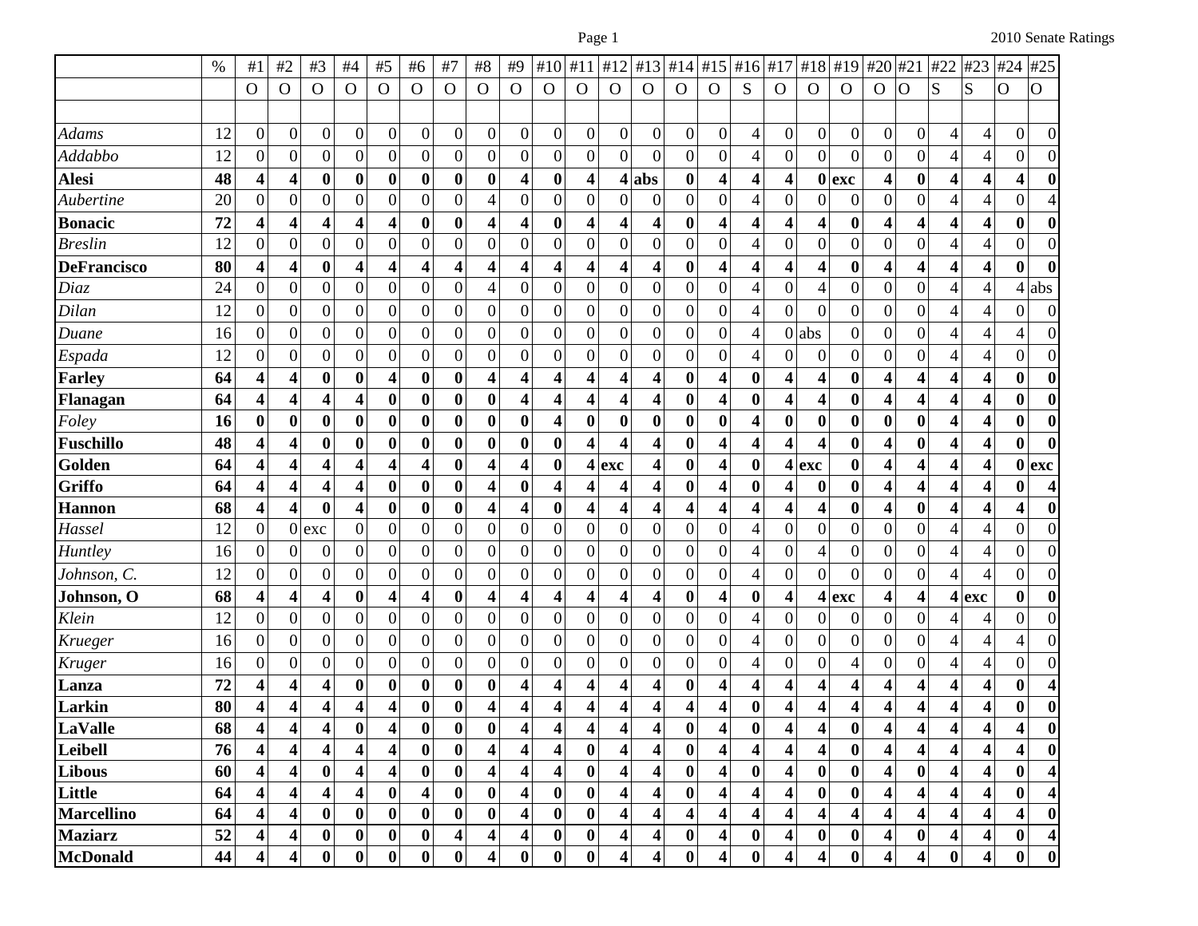|                    | $\%$ | #1                       | #2                      | $\#3$                   | #4                      | #5                      | #6                      | #7               | $\#8$                   | #9                      | #10                     | #11                     | #12                     | #13                     | #14              | #15                     | #16                      | #17              | #18              | #19              | #20                     | #21                     | #22                      | #23                     | #24              | #25              |
|--------------------|------|--------------------------|-------------------------|-------------------------|-------------------------|-------------------------|-------------------------|------------------|-------------------------|-------------------------|-------------------------|-------------------------|-------------------------|-------------------------|------------------|-------------------------|--------------------------|------------------|------------------|------------------|-------------------------|-------------------------|--------------------------|-------------------------|------------------|------------------|
|                    |      | $\mathbf O$              | $\mathbf{O}$            | $\mathbf O$             | $\Omega$                | $\mathbf O$             | $\mathbf{O}$            | $\mathbf{O}$     | $\mathbf O$             | $\mathbf O$             | $\mathbf{O}$            | $\mathbf O$             | $\mathbf O$             | $\mathbf O$             | $\Omega$         | $\mathbf{O}$            | S                        | $\Omega$         | O                | $\mathbf O$      | $\mathbf O$             | O                       | $\vert S \vert$          | S                       | $\overline{O}$   | $\mathbf O$      |
|                    |      |                          |                         |                         |                         |                         |                         |                  |                         |                         |                         |                         |                         |                         |                  |                         |                          |                  |                  |                  |                         |                         |                          |                         |                  |                  |
| <b>Adams</b>       | 12   | $\boldsymbol{0}$         | $\boldsymbol{0}$        | $\boldsymbol{0}$        | $\boldsymbol{0}$        | $\boldsymbol{0}$        | $\boldsymbol{0}$        | $\boldsymbol{0}$ | $\boldsymbol{0}$        | $\boldsymbol{0}$        | $\boldsymbol{0}$        | $\boldsymbol{0}$        | $\boldsymbol{0}$        | $\boldsymbol{0}$        | $\vert 0 \vert$  | $\boldsymbol{0}$        | 4                        | $\boldsymbol{0}$ | $\boldsymbol{0}$ | $\boldsymbol{0}$ | $\boldsymbol{0}$        | $\boldsymbol{0}$        | 4                        | 4                       | $\boldsymbol{0}$ | $\overline{0}$   |
| Addabbo            | 12   | $\boldsymbol{0}$         | $\boldsymbol{0}$        | $\boldsymbol{0}$        | $\boldsymbol{0}$        | $\boldsymbol{0}$        | $\boldsymbol{0}$        | $\boldsymbol{0}$ | $\boldsymbol{0}$        | $\theta$                | $\boldsymbol{0}$        | 0                       | $\boldsymbol{0}$        | $\mathbf{0}$            | $\boldsymbol{0}$ | $\boldsymbol{0}$        | 4                        | $\boldsymbol{0}$ | $\mathbf{0}$     | $\overline{0}$   | $\boldsymbol{0}$        | $\boldsymbol{0}$        | 4                        | 4                       | 0                | 0                |
| <b>Alesi</b>       | 48   | $\overline{\mathbf{4}}$  | 4                       | $\bf{0}$                | $\bf{0}$                | $\bf{0}$                | $\bf{0}$                | $\boldsymbol{0}$ | $\boldsymbol{0}$        | $\overline{\mathbf{4}}$ | $\bf{0}$                | 4                       |                         | $4$ abs                 | $\boldsymbol{0}$ | 4                       | 4                        | 4                |                  | $0$ exc          | 4                       | $\bf{0}$                | 4                        | 4                       | 4                | $\boldsymbol{0}$ |
| Aubertine          | 20   | $\boldsymbol{0}$         | $\boldsymbol{0}$        | $\overline{0}$          | $\overline{0}$          | $\boldsymbol{0}$        | $\boldsymbol{0}$        | $\overline{0}$   | 4                       | $\mathbf{0}$            | $\boldsymbol{0}$        | $\boldsymbol{0}$        | $\boldsymbol{0}$        | $\boldsymbol{0}$        | $\overline{0}$   | $\mathbf{0}$            | $\overline{\mathcal{A}}$ | 0                | $\boldsymbol{0}$ | $\boldsymbol{0}$ | $\mathbf{0}$            | $\boldsymbol{0}$        | 4                        | $\overline{4}$          | $\overline{0}$   |                  |
| <b>Bonacic</b>     | 72   | $\overline{\mathbf{4}}$  | 4                       | 4                       | $\overline{\mathbf{4}}$ | $\overline{\mathbf{4}}$ | $\boldsymbol{0}$        | $\boldsymbol{0}$ | 4                       | $\overline{\mathbf{4}}$ | $\boldsymbol{0}$        | 4                       | 4                       | 4                       | $\bf{0}$         | 4                       | 4                        | 4                | 4                | $\boldsymbol{0}$ | 4                       | $\overline{\mathbf{4}}$ | 4                        | 4                       | $\boldsymbol{0}$ | $\boldsymbol{0}$ |
| <b>Breslin</b>     | 12   | $\boldsymbol{0}$         | $\boldsymbol{0}$        | $\overline{0}$          | $\boldsymbol{0}$        | $\boldsymbol{0}$        | $\boldsymbol{0}$        | $\boldsymbol{0}$ | $\boldsymbol{0}$        | $\boldsymbol{0}$        | $\boldsymbol{0}$        | $\overline{0}$          | $\boldsymbol{0}$        | $\boldsymbol{0}$        | $\vert 0 \vert$  | $\boldsymbol{0}$        | $\overline{\mathcal{L}}$ | $\boldsymbol{0}$ | $\vert 0 \vert$  | $\boldsymbol{0}$ | $\boldsymbol{0}$        | $\boldsymbol{0}$        | 4                        | $\overline{4}$          | $\boldsymbol{0}$ | $\Omega$         |
| <b>DeFrancisco</b> | 80   | $\overline{\mathbf{4}}$  | 4                       | $\bf{0}$                | 4                       | 4                       | $\overline{\mathbf{4}}$ | 4                | 4                       | 4                       | 4                       | 4                       | 4                       | 4                       | $\bf{0}$         | 4                       | $\overline{\mathbf{4}}$  | 4                | 4                | $\bf{0}$         | 4                       | $\overline{\mathbf{4}}$ | 4                        | $\overline{\mathbf{4}}$ | $\boldsymbol{0}$ | $\boldsymbol{0}$ |
| Diaz               | 24   | $\boldsymbol{0}$         | $\mathbf{0}$            | $\boldsymbol{0}$        | $\overline{0}$          | $\boldsymbol{0}$        | $\mathbf{0}$            | $\boldsymbol{0}$ | 4                       | $\mathbf{0}$            | $\boldsymbol{0}$        | $\boldsymbol{0}$        | $\boldsymbol{0}$        | $\boldsymbol{0}$        | $\overline{0}$   | $\boldsymbol{0}$        | $\overline{\mathcal{A}}$ | $\boldsymbol{0}$ | 4                | $\boldsymbol{0}$ | $\boldsymbol{0}$        | $\boldsymbol{0}$        | 4                        | 4                       | 4                | abs              |
| Dilan              | 12   | $\boldsymbol{0}$         | $\boldsymbol{0}$        | $\boldsymbol{0}$        | $\overline{0}$          | $\boldsymbol{0}$        | $\boldsymbol{0}$        | $\boldsymbol{0}$ | $\boldsymbol{0}$        | $\boldsymbol{0}$        | $\boldsymbol{0}$        | $\boldsymbol{0}$        | $\boldsymbol{0}$        | $\boldsymbol{0}$        | $\boldsymbol{0}$ | $\boldsymbol{0}$        | 4                        | $\overline{0}$   | $\boldsymbol{0}$ | $\boldsymbol{0}$ | $\boldsymbol{0}$        | $\boldsymbol{0}$        | 4                        | 4                       | $\overline{0}$   | 0                |
| Duane              | 16   | $\boldsymbol{0}$         | $\boldsymbol{0}$        | $\overline{0}$          | $\overline{0}$          | $\boldsymbol{0}$        | $\boldsymbol{0}$        | $\boldsymbol{0}$ | $\boldsymbol{0}$        | $\boldsymbol{0}$        | $\boldsymbol{0}$        | $\boldsymbol{0}$        | $\boldsymbol{0}$        | $\boldsymbol{0}$        | $\overline{0}$   | $\boldsymbol{0}$        | 4                        | $\overline{0}$   | abs              | $\boldsymbol{0}$ | $\boldsymbol{0}$        | $\boldsymbol{0}$        | 4                        | 4                       | 4                | $\theta$         |
| Espada             | 12   | $\boldsymbol{0}$         | $\boldsymbol{0}$        | $\boldsymbol{0}$        | $\overline{0}$          | $\boldsymbol{0}$        | $\boldsymbol{0}$        | $\boldsymbol{0}$ | $\boldsymbol{0}$        | $\theta$                | $\boldsymbol{0}$        | $\boldsymbol{0}$        | $\boldsymbol{0}$        | $\boldsymbol{0}$        | $\boldsymbol{0}$ | $\boldsymbol{0}$        | 4                        | 0                | 0                | $\boldsymbol{0}$ | $\boldsymbol{0}$        | $\boldsymbol{0}$        | 4                        | 4                       | $\overline{0}$   | 0                |
| <b>Farley</b>      | 64   | $\overline{\mathbf{4}}$  | 4                       | $\bf{0}$                | $\boldsymbol{0}$        | $\overline{\mathbf{4}}$ | $\bf{0}$                | $\bf{0}$         | 4                       | $\boldsymbol{4}$        | $\overline{\mathbf{4}}$ | 4                       | 4                       | 4                       | $\bf{0}$         | $\overline{\mathbf{4}}$ | $\bf{0}$                 | 4                | 4                | $\boldsymbol{0}$ | 4                       | $\overline{\mathbf{4}}$ | 4                        | 4                       | $\boldsymbol{0}$ | $\boldsymbol{0}$ |
| Flanagan           | 64   | 4                        | 4                       | 4                       | 4                       | $\boldsymbol{0}$        | $\bf{0}$                | $\boldsymbol{0}$ | $\boldsymbol{0}$        | 4                       | 4                       | 4                       | 4                       | 4                       | $\bf{0}$         | 4                       | $\boldsymbol{0}$         | 4                | 4                | $\boldsymbol{0}$ | 4                       | $\overline{\mathbf{4}}$ | 4                        | 4                       | $\boldsymbol{0}$ | 0                |
| Foley              | 16   | $\bf{0}$                 | $\boldsymbol{0}$        | $\bf{0}$                | $\boldsymbol{0}$        | $\boldsymbol{0}$        | $\boldsymbol{0}$        | $\boldsymbol{0}$ | $\boldsymbol{0}$        | $\bf{0}$                | 4                       | $\bf{0}$                | $\bf{0}$                | $\bf{0}$                | $\bf{0}$         | $\boldsymbol{0}$        | 4                        | $\bf{0}$         | $\boldsymbol{0}$ | $\boldsymbol{0}$ | $\boldsymbol{0}$        | $\bf{0}$                | 4                        | 4                       | $\boldsymbol{0}$ | $\boldsymbol{0}$ |
| Fuschillo          | 48   | $\overline{\mathbf{4}}$  | 4                       | $\bf{0}$                | $\boldsymbol{0}$        | $\bf{0}$                | $\boldsymbol{0}$        | $\boldsymbol{0}$ | $\boldsymbol{0}$        | $\bf{0}$                | $\bf{0}$                | $\overline{\mathbf{4}}$ | 4                       | 4                       | $\bf{0}$         | 4                       | 4                        | 4                | 4                | $\bf{0}$         | 4                       | $\bf{0}$                | 4                        | $\overline{\mathbf{4}}$ | $\bf{0}$         | $\bf{0}$         |
| Golden             | 64   | 4                        | 4                       | 4                       | 4                       | 4                       | 4                       | $\boldsymbol{0}$ | 4                       | 4                       | $\bf{0}$                | 4                       | exc                     | 4                       | $\bf{0}$         | 4                       | $\bf{0}$                 | 4                | exc              | $\boldsymbol{0}$ | 4                       | 4                       | 4                        | 4                       | $\boldsymbol{0}$ | exc              |
| <b>Griffo</b>      | 64   | $\overline{\mathbf{4}}$  | 4                       | 4                       | 4                       | $\bf{0}$                | $\boldsymbol{0}$        | $\boldsymbol{0}$ | 4                       | $\boldsymbol{0}$        | 4                       | 4                       | 4                       | 4                       | $\bf{0}$         | 4                       | $\bf{0}$                 | 4                | $\boldsymbol{0}$ | $\bf{0}$         | 4                       | $\overline{\mathbf{4}}$ | 4                        | 4                       | $\boldsymbol{0}$ |                  |
| Hannon             | 68   | 4                        | 4                       | $\bf{0}$                | 4                       | $\bf{0}$                | $\bf{0}$                | $\boldsymbol{0}$ | 4                       | 4                       | $\boldsymbol{0}$        | 4                       | 4                       | 4                       | 4                | 4                       | 4                        | 4                | 4                | $\boldsymbol{0}$ | 4                       | $\bf{0}$                | 4                        | 4                       | 4                | $\bf{0}$         |
| Hassel             | 12   | $\boldsymbol{0}$         | $\boldsymbol{0}$        | exc                     | $\boldsymbol{0}$        | $\boldsymbol{0}$        | $\overline{0}$          | $\boldsymbol{0}$ | $\boldsymbol{0}$        | $\boldsymbol{0}$        | $\overline{0}$          | $\boldsymbol{0}$        | $\boldsymbol{0}$        | $\overline{0}$          | $\overline{0}$   | $\boldsymbol{0}$        | $\overline{\mathcal{L}}$ | $\boldsymbol{0}$ | $\boldsymbol{0}$ | $\boldsymbol{0}$ | $\boldsymbol{0}$        | $\overline{0}$          | 4                        | $\overline{4}$          | $\boldsymbol{0}$ | $\overline{0}$   |
| Huntley            | 16   | $\boldsymbol{0}$         | $\boldsymbol{0}$        | $\boldsymbol{0}$        | $\overline{0}$          | $\boldsymbol{0}$        | $\boldsymbol{0}$        | $\boldsymbol{0}$ | $\boldsymbol{0}$        | $\boldsymbol{0}$        | $\boldsymbol{0}$        | $\overline{0}$          | $\boldsymbol{0}$        | $\boldsymbol{0}$        | $\vert 0 \vert$  | $\boldsymbol{0}$        | $\overline{\mathcal{A}}$ | $\boldsymbol{0}$ | 4                | $\boldsymbol{0}$ | $\boldsymbol{0}$        | $\overline{0}$          | 4                        | 4                       | $\boldsymbol{0}$ | $\Omega$         |
| Johnson, C.        | 12   | $\boldsymbol{0}$         | $\boldsymbol{0}$        | $\boldsymbol{0}$        | $\overline{0}$          | $\boldsymbol{0}$        | $\mathbf{0}$            | $\boldsymbol{0}$ | $\boldsymbol{0}$        | $\mathbf{0}$            | $\boldsymbol{0}$        | $\boldsymbol{0}$        | $\boldsymbol{0}$        | $\mathbf{0}$            | $\vert 0 \vert$  | $\boldsymbol{0}$        | $\overline{4}$           | $\boldsymbol{0}$ | $\boldsymbol{0}$ | $\boldsymbol{0}$ | $\boldsymbol{0}$        | $\boldsymbol{0}$        | 4                        | 4                       | $\boldsymbol{0}$ | $\overline{0}$   |
| Johnson, O         | 68   | $\overline{\mathbf{4}}$  | 4                       | 4                       | $\boldsymbol{0}$        | 4                       | $\overline{\mathbf{4}}$ | $\bf{0}$         | 4                       | 4                       | 4                       | $\overline{\mathbf{4}}$ | 4                       | $\overline{\mathbf{4}}$ | $\bf{0}$         | $\overline{\mathbf{4}}$ | $\bf{0}$                 | 4                |                  | $4$ exc          | 4                       | $\overline{\mathbf{4}}$ |                          | $4$ exc                 | $\boldsymbol{0}$ | $\boldsymbol{0}$ |
| Klein              | 12   | $\boldsymbol{0}$         | $\boldsymbol{0}$        | $\boldsymbol{0}$        | $\overline{0}$          | $\boldsymbol{0}$        | $\boldsymbol{0}$        | $\boldsymbol{0}$ | $\boldsymbol{0}$        | $\mathbf{0}$            | $\boldsymbol{0}$        | $\boldsymbol{0}$        | $\boldsymbol{0}$        | $\boldsymbol{0}$        | $\boldsymbol{0}$ | $\boldsymbol{0}$        | $\overline{\mathcal{A}}$ | $\boldsymbol{0}$ | $\boldsymbol{0}$ | $\boldsymbol{0}$ | $\boldsymbol{0}$        | $\boldsymbol{0}$        | 4                        | 4                       | $\boldsymbol{0}$ | 0                |
| Krueger            | 16   | $\boldsymbol{0}$         | $\boldsymbol{0}$        | $\overline{0}$          | $\overline{0}$          | $\boldsymbol{0}$        | $\boldsymbol{0}$        | $\boldsymbol{0}$ | $\boldsymbol{0}$        | $\boldsymbol{0}$        | $\boldsymbol{0}$        | $\boldsymbol{0}$        | $\boldsymbol{0}$        | $\boldsymbol{0}$        | $\boldsymbol{0}$ | $\mathbf{0}$            | $\overline{\mathcal{A}}$ | 0                | $\vert 0 \vert$  | $\overline{0}$   | $\boldsymbol{0}$        | $\boldsymbol{0}$        | 4                        | 4                       | 4                | $\overline{0}$   |
| Kruger             | 16   | $\boldsymbol{0}$         | $\boldsymbol{0}$        | $\overline{0}$          | $\overline{0}$          | $\boldsymbol{0}$        | $\boldsymbol{0}$        | $\boldsymbol{0}$ | $\boldsymbol{0}$        | $\theta$                | $\boldsymbol{0}$        | $\boldsymbol{0}$        | $\boldsymbol{0}$        | $\boldsymbol{0}$        | $\boldsymbol{0}$ | $\overline{0}$          | $\overline{\mathcal{A}}$ | 0                | $\boldsymbol{0}$ | 4                | $\boldsymbol{0}$        | $\boldsymbol{0}$        | 4                        | 4                       | $\overline{0}$   | $\Omega$         |
| Lanza              | 72   | $\overline{\mathbf{4}}$  | 4                       | 4                       | $\bf{0}$                | $\boldsymbol{0}$        | $\bf{0}$                | $\boldsymbol{0}$ | $\bf{0}$                | 4                       | 4                       | 4                       | 4                       | 4                       | $\boldsymbol{0}$ | 4                       | 4                        | 4                | 4                | 4                | 4                       | 4                       | 4                        | 4                       | $\boldsymbol{0}$ |                  |
| Larkin             | 80   | 4                        | 4                       | 4                       | 4                       | 4                       | $\bf{0}$                | 0                | 4                       | 4                       | 4                       |                         | 4                       | 4                       | 4                | 4                       | $\bf{0}$                 | 4                | 4                | 4                | 4                       | 4                       | 4                        | 4                       | $\bf{0}$         |                  |
| LaValle            | 68   | $\boldsymbol{\varDelta}$ | 4                       | $\overline{\mathbf{A}}$ | $\mathbf{0}$            | 4                       | $\Omega$                | Λ                | $\Omega$                | Δ                       | 4                       | $\overline{\Lambda}$    | $\overline{\mathbf{A}}$ | 4                       | $\mathbf{0}$     | 4                       | $\Omega$                 | 4                | 4                | $\Omega$         | Δ                       | $\boldsymbol{\Lambda}$  | $\boldsymbol{\varDelta}$ | $\overline{\mathbf{A}}$ | 4                |                  |
| Leibell            | 76   | $\overline{\mathbf{4}}$  | $\overline{\mathbf{4}}$ | 4                       | $\overline{\mathbf{4}}$ | $\overline{\mathbf{4}}$ | $\bf{0}$                | $\bf{0}$         | 4                       | $\overline{\mathbf{4}}$ | $\overline{\mathbf{4}}$ | $\boldsymbol{0}$        | $\overline{\mathbf{4}}$ | $\overline{\mathbf{4}}$ | $\boldsymbol{0}$ | $\overline{\mathbf{4}}$ | 4                        | 4                | $\vert 4 \vert$  | $\boldsymbol{0}$ | $\vert$                 | 4                       | $\overline{\mathbf{4}}$  | $\overline{\mathbf{4}}$ | 4                | $\boldsymbol{0}$ |
| <b>Libous</b>      | 60   | 4                        | 4                       | $\boldsymbol{0}$        | 4                       | 4                       | $\bf{0}$                | $\boldsymbol{0}$ | $\overline{\mathbf{4}}$ | $\overline{\mathbf{4}}$ | $\overline{\mathbf{4}}$ | $\boldsymbol{0}$        | 4                       | 4                       | $\boldsymbol{0}$ | 4                       | $\bf{0}$                 | 4                | 0                | $\bf{0}$         | 4                       | $\bf{0}$                | 4                        | 4                       | $\bf{0}$         |                  |
| Little             | 64   | $\overline{\mathbf{4}}$  | 4                       | $\overline{\mathbf{4}}$ | $\overline{\mathbf{4}}$ | $\bf{0}$                | $\overline{\mathbf{4}}$ | $\bf{0}$         | $\boldsymbol{0}$        | 4                       | $\bf{0}$                | $\boldsymbol{0}$        | $\overline{\mathbf{4}}$ | 4                       | $\boldsymbol{0}$ | 4                       | 4                        | 4                | $\boldsymbol{0}$ | $\bf{0}$         | $\overline{\mathbf{4}}$ | $\overline{\mathbf{4}}$ | 4                        | $\overline{\mathbf{4}}$ | $\bf{0}$         | 4                |
| <b>Marcellino</b>  | 64   | 4                        | 4                       | $\bf{0}$                | $\bf{0}$                | $\boldsymbol{0}$        | $\bf{0}$                | $\boldsymbol{0}$ | $\bf{0}$                | 4                       | $\bf{0}$                | $\boldsymbol{0}$        | 4                       | 4                       | 4                | 4                       | 4                        | 4                | 4                | 4                | 4                       | 4                       | 4                        | 4                       | 4                | $\bf{0}$         |
| <b>Maziarz</b>     | 52   | 4                        | 4                       | $\boldsymbol{0}$        | $\boldsymbol{0}$        | $\boldsymbol{0}$        | $\boldsymbol{0}$        | 4                | 4                       | 4                       | $\boldsymbol{0}$        | $\boldsymbol{0}$        | 4                       | 4                       | $\boldsymbol{0}$ | 4                       | $\boldsymbol{0}$         | 4                | $\bf{0}$         | $\boldsymbol{0}$ | 4                       | $\boldsymbol{0}$        | 4                        | 4                       | $\boldsymbol{0}$ | 4                |
| <b>McDonald</b>    | 44   | $\overline{\mathbf{4}}$  | 4                       | $\boldsymbol{0}$        | $\boldsymbol{0}$        | $\boldsymbol{0}$        | $\bf{0}$                | $\boldsymbol{0}$ | 4                       | $\bf{0}$                | $\bf{0}$                | 0                       | 4                       | 4                       | $\boldsymbol{0}$ | $\overline{\mathbf{4}}$ | $\bf{0}$                 | 4                |                  | $\bf{0}$         | 4                       | $\overline{\mathbf{4}}$ | $\bf{0}$                 | $\overline{\mathbf{4}}$ | $\bf{0}$         | 0                |